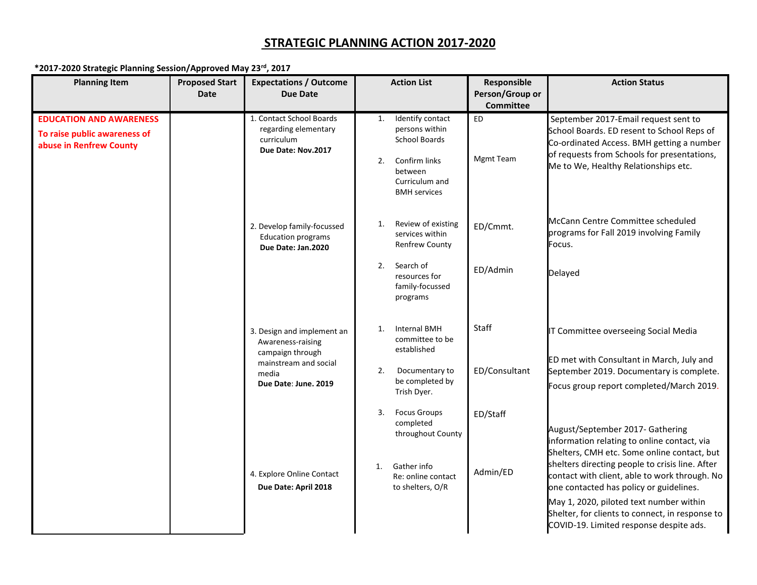## **STRATEGIC PLANNING ACTION 2017-2020**

## **\*2017-2020 Strategic Planning Session/Approved May 23rd, 2017**

| <b>Planning Item</b>                                                                      | <b>Proposed Start</b><br><b>Date</b> | <b>Expectations / Outcome</b><br><b>Due Date</b>                                                                              | <b>Action List</b>                                                                                                                          | Responsible<br>Person/Group or                    | <b>Action Status</b>                                                                                                                                                                                                                                                                                                                                                                                                   |
|-------------------------------------------------------------------------------------------|--------------------------------------|-------------------------------------------------------------------------------------------------------------------------------|---------------------------------------------------------------------------------------------------------------------------------------------|---------------------------------------------------|------------------------------------------------------------------------------------------------------------------------------------------------------------------------------------------------------------------------------------------------------------------------------------------------------------------------------------------------------------------------------------------------------------------------|
| <b>EDUCATION AND AWARENESS</b><br>To raise public awareness of<br>abuse in Renfrew County |                                      | 1. Contact School Boards<br>regarding elementary<br>curriculum<br>Due Date: Nov.2017                                          | Identify contact<br>1.<br>persons within<br><b>School Boards</b><br>Confirm links<br>2.<br>between<br>Curriculum and<br><b>BMH</b> services | <b>Committee</b><br><b>ED</b><br><b>Mgmt Team</b> | September 2017-Email request sent to<br>School Boards. ED resent to School Reps of<br>Co-ordinated Access. BMH getting a number<br>of requests from Schools for presentations,<br>Me to We, Healthy Relationships etc.                                                                                                                                                                                                 |
|                                                                                           |                                      | 2. Develop family-focussed<br><b>Education programs</b><br>Due Date: Jan.2020                                                 | Review of existing<br>1.<br>services within<br><b>Renfrew County</b><br>Search of<br>2.<br>resources for<br>family-focussed<br>programs     | ED/Cmmt.<br>ED/Admin                              | McCann Centre Committee scheduled<br>programs for Fall 2019 involving Family<br>Focus.<br>Delayed                                                                                                                                                                                                                                                                                                                      |
|                                                                                           |                                      | 3. Design and implement an<br>Awareness-raising<br>campaign through<br>mainstream and social<br>media<br>Due Date: June. 2019 | <b>Internal BMH</b><br>1.<br>committee to be<br>established<br>2.<br>Documentary to<br>be completed by<br>Trish Dyer.                       | Staff<br>ED/Consultant                            | IT Committee overseeing Social Media<br>ED met with Consultant in March, July and<br>September 2019. Documentary is complete.<br>Focus group report completed/March 2019.                                                                                                                                                                                                                                              |
|                                                                                           |                                      | 4. Explore Online Contact<br>Due Date: April 2018                                                                             | <b>Focus Groups</b><br>3.<br>completed<br>throughout County<br>Gather info<br>1.<br>Re: online contact<br>to shelters, O/R                  | ED/Staff<br>Admin/ED                              | August/September 2017- Gathering<br>information relating to online contact, via<br>Shelters, CMH etc. Some online contact, but<br>shelters directing people to crisis line. After<br>contact with client, able to work through. No<br>one contacted has policy or guidelines.<br>May 1, 2020, piloted text number within<br>Shelter, for clients to connect, in response to<br>COVID-19. Limited response despite ads. |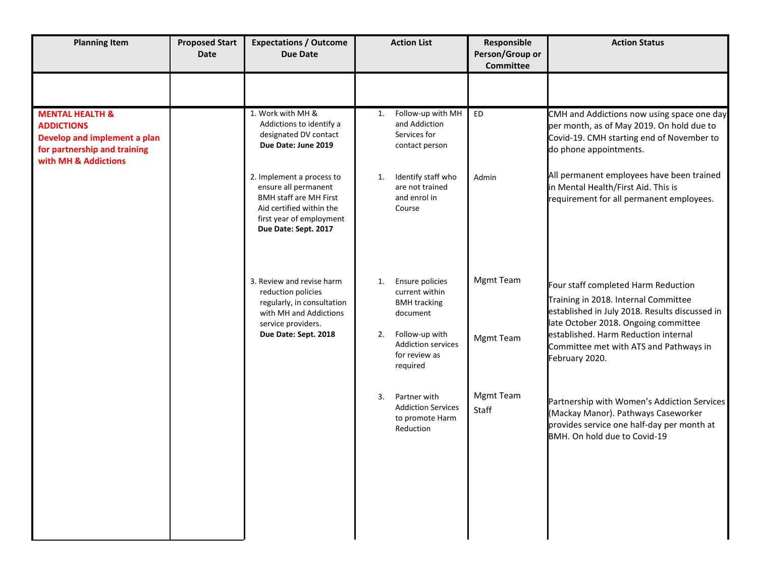| <b>Planning Item</b>                                                                                                                    | <b>Proposed Start</b><br><b>Date</b> | <b>Expectations / Outcome</b><br><b>Due Date</b>                                                                                                                   | <b>Action List</b> |                                                                           | Responsible<br>Person/Group or<br><b>Committee</b> | <b>Action Status</b>                                                                                                                                                  |
|-----------------------------------------------------------------------------------------------------------------------------------------|--------------------------------------|--------------------------------------------------------------------------------------------------------------------------------------------------------------------|--------------------|---------------------------------------------------------------------------|----------------------------------------------------|-----------------------------------------------------------------------------------------------------------------------------------------------------------------------|
|                                                                                                                                         |                                      |                                                                                                                                                                    |                    |                                                                           |                                                    |                                                                                                                                                                       |
| <b>MENTAL HEALTH &amp;</b><br><b>ADDICTIONS</b><br>Develop and implement a plan<br>for partnership and training<br>with MH & Addictions |                                      | 1. Work with MH &<br>Addictions to identify a<br>designated DV contact<br>Due Date: June 2019                                                                      | 1.                 | Follow-up with MH<br>and Addiction<br>Services for<br>contact person      | <b>ED</b>                                          | CMH and Addictions now using space one day<br>per month, as of May 2019. On hold due to<br>Covid-19. CMH starting end of November to<br>do phone appointments.        |
|                                                                                                                                         |                                      | 2. Implement a process to<br>ensure all permanent<br><b>BMH staff are MH First</b><br>Aid certified within the<br>first year of employment<br>Due Date: Sept. 2017 | 1.                 | Identify staff who<br>are not trained<br>and enrol in<br>Course           | Admin                                              | All permanent employees have been trained<br>in Mental Health/First Aid. This is<br>requirement for all permanent employees.                                          |
|                                                                                                                                         |                                      | 3. Review and revise harm<br>reduction policies<br>regularly, in consultation<br>with MH and Addictions<br>service providers.                                      | 1.                 | Ensure policies<br>current within<br><b>BMH</b> tracking<br>document      | Mgmt Team                                          | Four staff completed Harm Reduction<br>Training in 2018. Internal Committee<br>established in July 2018. Results discussed in<br>late October 2018. Ongoing committee |
|                                                                                                                                         |                                      | Due Date: Sept. 2018                                                                                                                                               | 2.                 | Follow-up with<br><b>Addiction services</b><br>for review as<br>required  | <b>Mgmt Team</b>                                   | established. Harm Reduction internal<br>Committee met with ATS and Pathways in<br>February 2020.                                                                      |
|                                                                                                                                         |                                      |                                                                                                                                                                    | 3.                 | Partner with<br><b>Addiction Services</b><br>to promote Harm<br>Reduction | Mgmt Team<br>Staff                                 | Partnership with Women's Addiction Services<br>(Mackay Manor). Pathways Caseworker<br>provides service one half-day per month at<br>BMH. On hold due to Covid-19      |
|                                                                                                                                         |                                      |                                                                                                                                                                    |                    |                                                                           |                                                    |                                                                                                                                                                       |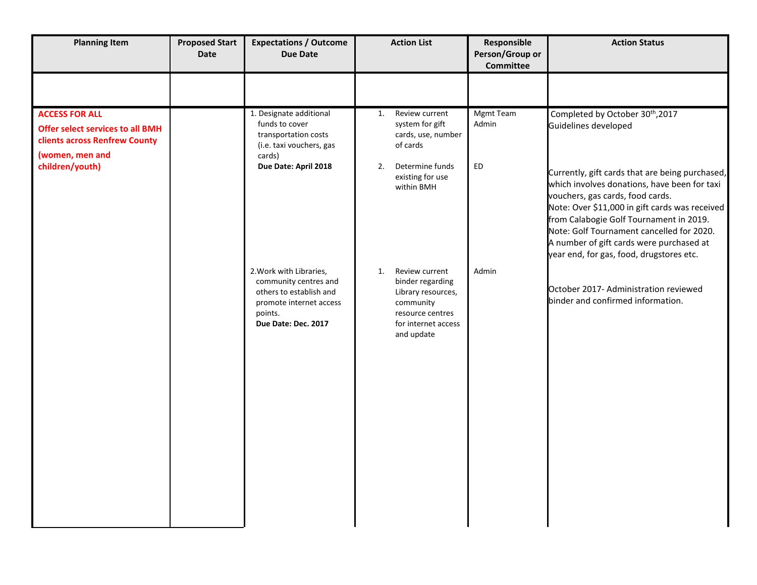| <b>Planning Item</b>                                                                                                                           | <b>Proposed Start</b><br><b>Date</b> | <b>Expectations / Outcome</b><br><b>Due Date</b>                                                                                                                                    | <b>Action List</b>                                                                                                                                                               | Responsible<br>Person/Group or<br><b>Committee</b> | <b>Action Status</b>                                                                                                                                                                                                                                                                                                                                                                                                                          |
|------------------------------------------------------------------------------------------------------------------------------------------------|--------------------------------------|-------------------------------------------------------------------------------------------------------------------------------------------------------------------------------------|----------------------------------------------------------------------------------------------------------------------------------------------------------------------------------|----------------------------------------------------|-----------------------------------------------------------------------------------------------------------------------------------------------------------------------------------------------------------------------------------------------------------------------------------------------------------------------------------------------------------------------------------------------------------------------------------------------|
| <b>ACCESS FOR ALL</b><br><b>Offer select services to all BMH</b><br><b>clients across Renfrew County</b><br>(women, men and<br>children/youth) |                                      | 1. Designate additional<br>funds to cover<br>transportation costs<br>(i.e. taxi vouchers, gas<br>cards)<br>Due Date: April 2018<br>2. Work with Libraries,<br>community centres and | Review current<br>1.<br>system for gift<br>cards, use, number<br>of cards<br>Determine funds<br>2.<br>existing for use<br>within BMH<br>Review current<br>1.<br>binder regarding | <b>Mgmt Team</b><br>Admin<br>ED<br>Admin           | Completed by October 30 <sup>th</sup> , 2017<br>Guidelines developed<br>Currently, gift cards that are being purchased,<br>which involves donations, have been for taxi<br>vouchers, gas cards, food cards.<br>Note: Over \$11,000 in gift cards was received<br>from Calabogie Golf Tournament in 2019.<br>Note: Golf Tournament cancelled for 2020.<br>A number of gift cards were purchased at<br>year end, for gas, food, drugstores etc. |
|                                                                                                                                                |                                      | others to establish and<br>promote internet access<br>points.<br>Due Date: Dec. 2017                                                                                                | Library resources,<br>community<br>resource centres<br>for internet access<br>and update                                                                                         |                                                    | October 2017- Administration reviewed<br>binder and confirmed information.                                                                                                                                                                                                                                                                                                                                                                    |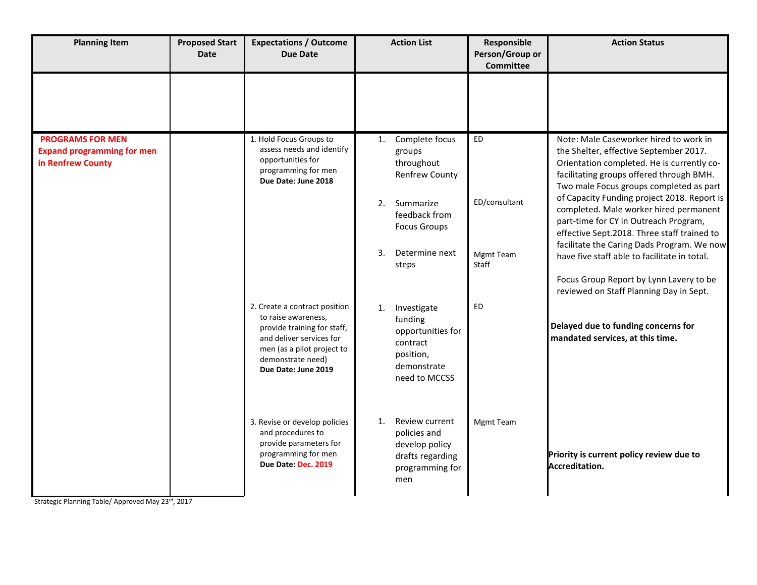| <b>Planning Item</b>                                                              | <b>Proposed Start</b><br><b>Date</b> | <b>Expectations / Outcome</b><br><b>Due Date</b>                                                                                                                                          | <b>Action List</b>                                                                                                                                                            | Responsible<br>Person/Group or<br><b>Committee</b> | <b>Action Status</b>                                                                                                                                                                                                                                                                                                                                                                                                                                                                                                                                                                       |
|-----------------------------------------------------------------------------------|--------------------------------------|-------------------------------------------------------------------------------------------------------------------------------------------------------------------------------------------|-------------------------------------------------------------------------------------------------------------------------------------------------------------------------------|----------------------------------------------------|--------------------------------------------------------------------------------------------------------------------------------------------------------------------------------------------------------------------------------------------------------------------------------------------------------------------------------------------------------------------------------------------------------------------------------------------------------------------------------------------------------------------------------------------------------------------------------------------|
|                                                                                   |                                      |                                                                                                                                                                                           |                                                                                                                                                                               |                                                    |                                                                                                                                                                                                                                                                                                                                                                                                                                                                                                                                                                                            |
| <b>PROGRAMS FOR MEN</b><br><b>Expand programming for men</b><br>in Renfrew County |                                      | 1. Hold Focus Groups to<br>assess needs and identify<br>opportunities for<br>programming for men<br>Due Date: June 2018                                                                   | Complete focus<br>1.<br>groups<br>throughout<br><b>Renfrew County</b><br>Summarize<br>2.<br>feedback from<br><b>Focus Groups</b><br>$\mathbf{3}$ .<br>Determine next<br>steps | ED<br>ED/consultant<br><b>Mgmt Team</b><br>Staff   | Note: Male Caseworker hired to work in<br>the Shelter, effective September 2017.<br>Orientation completed. He is currently co-<br>facilitating groups offered through BMH.<br>Two male Focus groups completed as part<br>of Capacity Funding project 2018. Report is<br>completed. Male worker hired permanent<br>part-time for CY in Outreach Program,<br>effective Sept.2018. Three staff trained to<br>facilitate the Caring Dads Program. We now<br>have five staff able to facilitate in total.<br>Focus Group Report by Lynn Lavery to be<br>reviewed on Staff Planning Day in Sept. |
|                                                                                   |                                      | 2. Create a contract position<br>to raise awareness,<br>provide training for staff,<br>and deliver services for<br>men (as a pilot project to<br>demonstrate need)<br>Due Date: June 2019 | Investigate<br>1.<br>funding<br>opportunities for<br>contract<br>position,<br>demonstrate<br>need to MCCSS                                                                    | ED                                                 | Delayed due to funding concerns for<br>mandated services, at this time.                                                                                                                                                                                                                                                                                                                                                                                                                                                                                                                    |
|                                                                                   |                                      | 3. Revise or develop policies<br>and procedures to<br>provide parameters for<br>programming for men<br>Due Date: Dec. 2019                                                                | Review current<br>1.<br>policies and<br>develop policy<br>drafts regarding<br>programming for<br>men                                                                          | Mgmt Team                                          | Priority is current policy review due to<br>Accreditation.                                                                                                                                                                                                                                                                                                                                                                                                                                                                                                                                 |

Strategic Planning Table/ Approved May 23rd, 2017